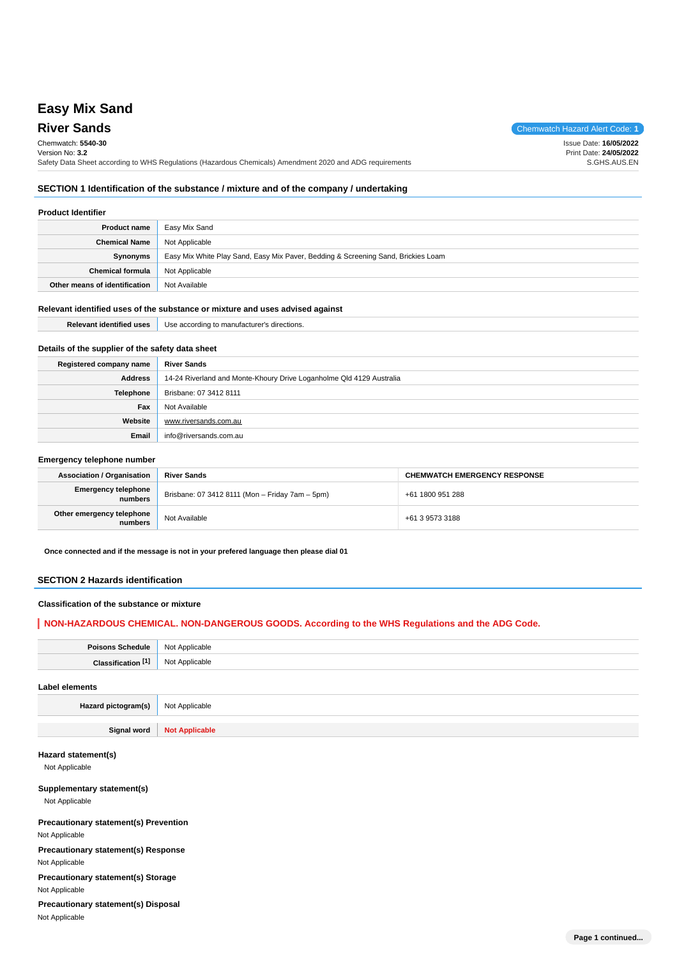# **Easy Mix Sand**

# **River Sands** Chemwatch Hazard Alert Code: **1**

Chemwatch: **5540-30**

Version No: **3.2** Issue Date: **16/05/2022** Print Date: **24/05/2022**

Safety Data Sheet according to WHS Regulations (Hazardous Chemicals) Amendment 2020 and ADG requirements S.GHS.AUS.EN

# **SECTION 1 Identification of the substance / mixture and of the company / undertaking**

# **Product Identifier**

| <b>Product name</b>           | Easy Mix Sand                                                                     |  |
|-------------------------------|-----------------------------------------------------------------------------------|--|
| <b>Chemical Name</b>          | Not Applicable                                                                    |  |
| Synonyms                      | Easy Mix White Play Sand, Easy Mix Paver, Bedding & Screening Sand, Brickies Loam |  |
| <b>Chemical formula</b>       | Not Applicable                                                                    |  |
| Other means of identification | Not Available                                                                     |  |

#### **Relevant identified uses of the substance or mixture and uses advised against**

| <b>Relevant identified uses</b>                  | Use according to manufacturer's directions. |
|--------------------------------------------------|---------------------------------------------|
| Details of the supplier of the safety data sheet |                                             |

| Registered company name | <b>River Sands</b>                                                   |  |  |
|-------------------------|----------------------------------------------------------------------|--|--|
| Address                 | 14-24 Riverland and Monte-Khoury Drive Loganholme Qld 4129 Australia |  |  |
| <b>Telephone</b>        | Brisbane: 07 3412 8111                                               |  |  |
| Fax                     | Not Available                                                        |  |  |
| Website                 | www.riversands.com.au                                                |  |  |
| Email                   | info@riversands.com.au                                               |  |  |

#### **Emergency telephone number**

| <b>Association / Organisation</b>     | <b>River Sands</b>                              | <b>CHEMWATCH EMERGENCY RESPONSE</b> |  |
|---------------------------------------|-------------------------------------------------|-------------------------------------|--|
| <b>Emergency telephone</b><br>numbers | Brisbane: 07 3412 8111 (Mon - Friday 7am - 5pm) | +61 1800 951 288                    |  |
| Other emergency telephone<br>numbers  | Not Available                                   | +61 3 9573 3188                     |  |

**Once connected and if the message is not in your prefered language then please dial 01**

# **SECTION 2 Hazards identification**

# **Classification of the substance or mixture**

# **NON-HAZARDOUS CHEMICAL. NON-DANGEROUS GOODS. According to the WHS Regulations and the ADG Code.**

| <b>N<sub>IO</sub></b> |
|-----------------------|
| NIC                   |
|                       |

#### **Label elements**

**Hazard pictogram(s)** Not Applicable

**Signal word Not Applicable**

#### **Hazard statement(s)**

Not Applicable

# **Supplementary statement(s)**

Not Applicable

**Precautionary statement(s) Prevention** Not Applicable

**Precautionary statement(s) Response** Not Applicable

**Precautionary statement(s) Storage** Not Applicable

**Precautionary statement(s) Disposal** Not Applicable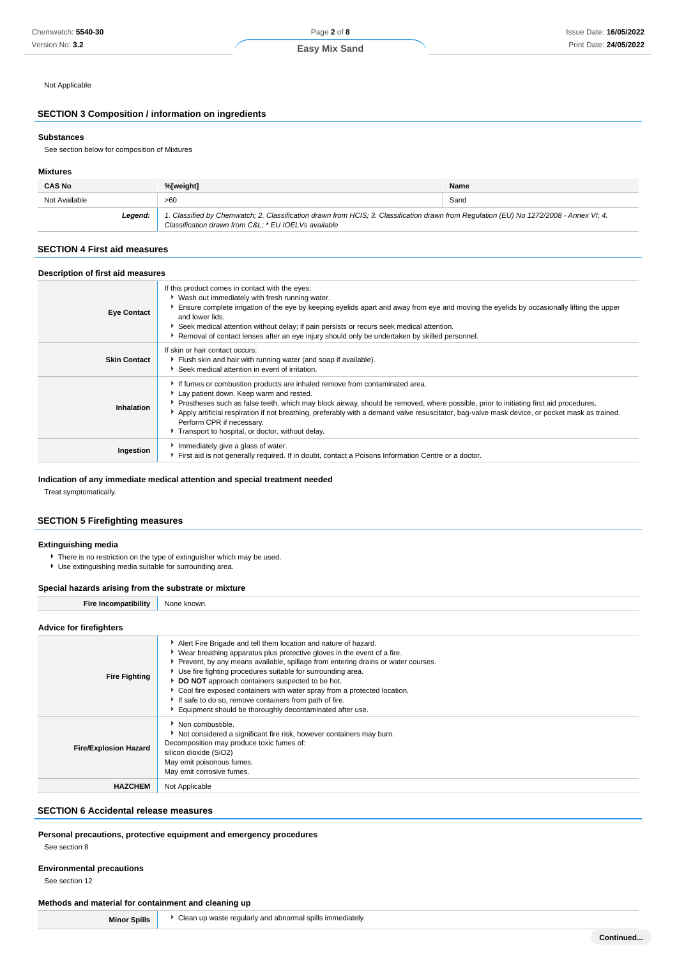Not Applicable

# **SECTION 3 Composition / information on ingredients**

#### **Substances**

See section below for composition of Mixtures

### **Mixtures**

| <b>CAS No</b> | %[weight]                                                                                                                                                                                      | Name |
|---------------|------------------------------------------------------------------------------------------------------------------------------------------------------------------------------------------------|------|
| Not Available | >60                                                                                                                                                                                            | Sand |
| Leaend:       | 1. Classified by Chemwatch; 2. Classification drawn from HCIS; 3. Classification drawn from Regulation (EU) No 1272/2008 - Annex VI: 4.<br>Classification drawn from C&L * EU IOELVs available |      |

# **SECTION 4 First aid measures**

# **Description of first aid measures**

| <b>Eye Contact</b>  | If this product comes in contact with the eyes:<br>▶ Wash out immediately with fresh running water.<br>Ensure complete irrigation of the eye by keeping eyelids apart and away from eye and moving the eyelids by occasionally lifting the upper<br>and lower lids.<br>Seek medical attention without delay; if pain persists or recurs seek medical attention.<br>Removal of contact lenses after an eye injury should only be undertaken by skilled personnel.                                |
|---------------------|-------------------------------------------------------------------------------------------------------------------------------------------------------------------------------------------------------------------------------------------------------------------------------------------------------------------------------------------------------------------------------------------------------------------------------------------------------------------------------------------------|
| <b>Skin Contact</b> | If skin or hair contact occurs:<br>Flush skin and hair with running water (and soap if available).<br>Seek medical attention in event of irritation.                                                                                                                                                                                                                                                                                                                                            |
| Inhalation          | If fumes or combustion products are inhaled remove from contaminated area.<br>Lay patient down. Keep warm and rested.<br>Prostheses such as false teeth, which may block airway, should be removed, where possible, prior to initiating first aid procedures.<br>Apply artificial respiration if not breathing, preferably with a demand valve resuscitator, bag-valve mask device, or pocket mask as trained.<br>Perform CPR if necessary.<br>Transport to hospital, or doctor, without delay. |
| Ingestion           | Immediately give a glass of water.<br>First aid is not generally required. If in doubt, contact a Poisons Information Centre or a doctor.                                                                                                                                                                                                                                                                                                                                                       |

# **Indication of any immediate medical attention and special treatment needed**

Treat symptomatically.

# **SECTION 5 Firefighting measures**

# **Extinguishing media**

- There is no restriction on the type of extinguisher which may be used.
- Use extinguishing media suitable for surrounding area.

### **Special hazards arising from the substrate or mixture**

| opecial hazards arising from the substrate of mixture |                                                                                                                                                                                                                                                                                                                                                                                                                                                                                                                                                          |  |
|-------------------------------------------------------|----------------------------------------------------------------------------------------------------------------------------------------------------------------------------------------------------------------------------------------------------------------------------------------------------------------------------------------------------------------------------------------------------------------------------------------------------------------------------------------------------------------------------------------------------------|--|
| <b>Fire Incompatibility</b>                           | None known.                                                                                                                                                                                                                                                                                                                                                                                                                                                                                                                                              |  |
| <b>Advice for firefighters</b>                        |                                                                                                                                                                                                                                                                                                                                                                                                                                                                                                                                                          |  |
| <b>Fire Fighting</b>                                  | Alert Fire Brigade and tell them location and nature of hazard.<br>► Wear breathing apparatus plus protective gloves in the event of a fire.<br>▶ Prevent, by any means available, spillage from entering drains or water courses.<br>Use fire fighting procedures suitable for surrounding area.<br>DO NOT approach containers suspected to be hot.<br>• Cool fire exposed containers with water spray from a protected location.<br>If safe to do so, remove containers from path of fire.<br>Equipment should be thoroughly decontaminated after use. |  |
| <b>Fire/Explosion Hazard</b>                          | • Non combustible.<br>Not considered a significant fire risk, however containers may burn.<br>Decomposition may produce toxic fumes of:<br>silicon dioxide (SiO2)<br>May emit poisonous fumes.                                                                                                                                                                                                                                                                                                                                                           |  |

# **SECTION 6 Accidental release measures**

#### **Personal precautions, protective equipment and emergency procedures** See section 8

**HAZCHEM** Not Applicable

May emit corrosive fumes.

# **Environmental precautions**

See section 12

# **Methods and material for containment and cleaning up**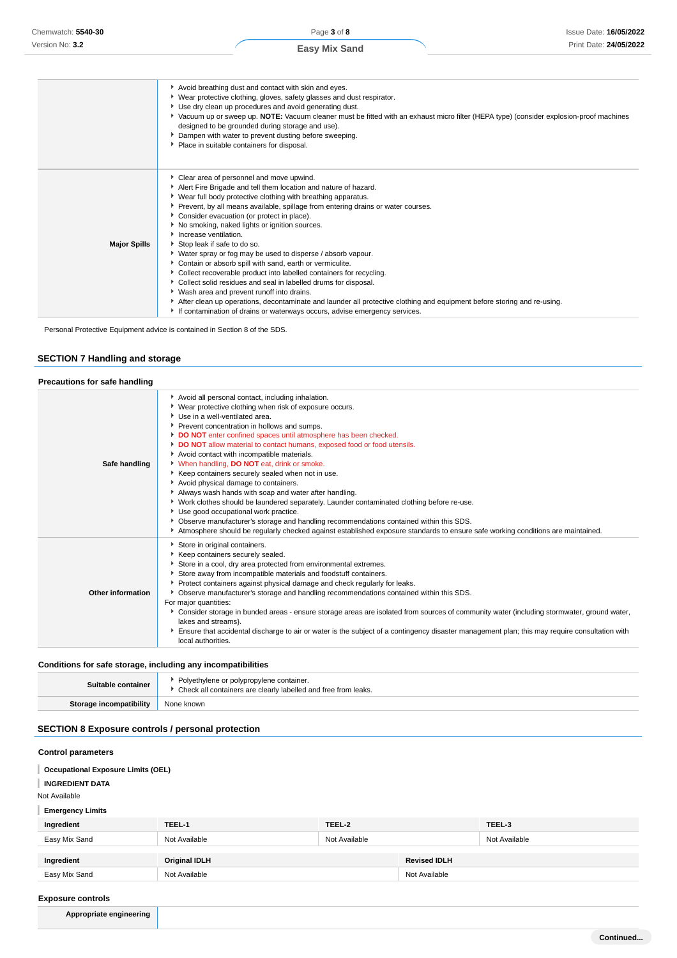|                     | Avoid breathing dust and contact with skin and eyes.<br>Wear protective clothing, gloves, safety glasses and dust respirator.<br>Use dry clean up procedures and avoid generating dust.<br>▶ Vacuum up or sweep up. NOTE: Vacuum cleaner must be fitted with an exhaust micro filter (HEPA type) (consider explosion-proof machines<br>designed to be grounded during storage and use).<br>Dampen with water to prevent dusting before sweeping.<br>Place in suitable containers for disposal.                                                                                                                                                                                                                                                                                                                                                                                                                                                    |
|---------------------|---------------------------------------------------------------------------------------------------------------------------------------------------------------------------------------------------------------------------------------------------------------------------------------------------------------------------------------------------------------------------------------------------------------------------------------------------------------------------------------------------------------------------------------------------------------------------------------------------------------------------------------------------------------------------------------------------------------------------------------------------------------------------------------------------------------------------------------------------------------------------------------------------------------------------------------------------|
| <b>Major Spills</b> | Clear area of personnel and move upwind.<br>Alert Fire Brigade and tell them location and nature of hazard.<br>Wear full body protective clothing with breathing apparatus.<br>Prevent, by all means available, spillage from entering drains or water courses.<br>Consider evacuation (or protect in place).<br>No smoking, naked lights or ignition sources.<br>Increase ventilation.<br>Stop leak if safe to do so.<br>Water spray or fog may be used to disperse / absorb vapour.<br>Contain or absorb spill with sand, earth or vermiculite.<br>Collect recoverable product into labelled containers for recycling.<br>Collect solid residues and seal in labelled drums for disposal.<br>Wash area and prevent runoff into drains.<br>After clean up operations, decontaminate and launder all protective clothing and equipment before storing and re-using.<br>If contamination of drains or waterways occurs, advise emergency services. |

Personal Protective Equipment advice is contained in Section 8 of the SDS.

# **SECTION 7 Handling and storage**

# **Precautions for safe handling**

| Safe handling     | Avoid all personal contact, including inhalation.<br>▶ Wear protective clothing when risk of exposure occurs.<br>▶ Use in a well-ventilated area.<br>Prevent concentration in hollows and sumps.<br>DO NOT enter confined spaces until atmosphere has been checked.<br>DO NOT allow material to contact humans, exposed food or food utensils.<br>Avoid contact with incompatible materials.<br>V When handling, DO NOT eat, drink or smoke.<br>Keep containers securely sealed when not in use.<br>Avoid physical damage to containers.<br>Always wash hands with soap and water after handling.<br>▶ Work clothes should be laundered separately. Launder contaminated clothing before re-use.<br>Use good occupational work practice.<br>▶ Observe manufacturer's storage and handling recommendations contained within this SDS.<br>Atmosphere should be regularly checked against established exposure standards to ensure safe working conditions are maintained. |
|-------------------|-------------------------------------------------------------------------------------------------------------------------------------------------------------------------------------------------------------------------------------------------------------------------------------------------------------------------------------------------------------------------------------------------------------------------------------------------------------------------------------------------------------------------------------------------------------------------------------------------------------------------------------------------------------------------------------------------------------------------------------------------------------------------------------------------------------------------------------------------------------------------------------------------------------------------------------------------------------------------|
| Other information | Store in original containers.<br>Keep containers securely sealed.<br>Store in a cool, dry area protected from environmental extremes.<br>Store away from incompatible materials and foodstuff containers.<br>Protect containers against physical damage and check regularly for leaks.<br>▶ Observe manufacturer's storage and handling recommendations contained within this SDS.<br>For major quantities:<br>▶ Consider storage in bunded areas - ensure storage areas are isolated from sources of community water (including stormwater, ground water,<br>lakes and streams}.<br>Ensure that accidental discharge to air or water is the subject of a contingency disaster management plan; this may require consultation with<br>local authorities.                                                                                                                                                                                                                |

# **Conditions for safe storage, including any incompatibilities**

| Suitable container | Polyethylene or polypropylene container.<br>Check all containers are clearly labelled and free from leaks. |  |
|--------------------|------------------------------------------------------------------------------------------------------------|--|
|                    | None known                                                                                                 |  |

# **SECTION 8 Exposure controls / personal protection**

# **Control parameters**

**Occupational Exposure Limits (OEL)**

**INGREDIENT DATA**

Not Available

# **Emergency Limits**

| Ingredient    | TEEL-1               | TEEL-2        |                     | TEEL-3        |
|---------------|----------------------|---------------|---------------------|---------------|
| Easy Mix Sand | Not Available        | Not Available |                     | Not Available |
|               |                      |               |                     |               |
| Ingredient    | <b>Original IDLH</b> |               | <b>Revised IDLH</b> |               |
| Easy Mix Sand | Not Available        |               | Not Available       |               |

# **Exposure controls**

**Appropriate engineering**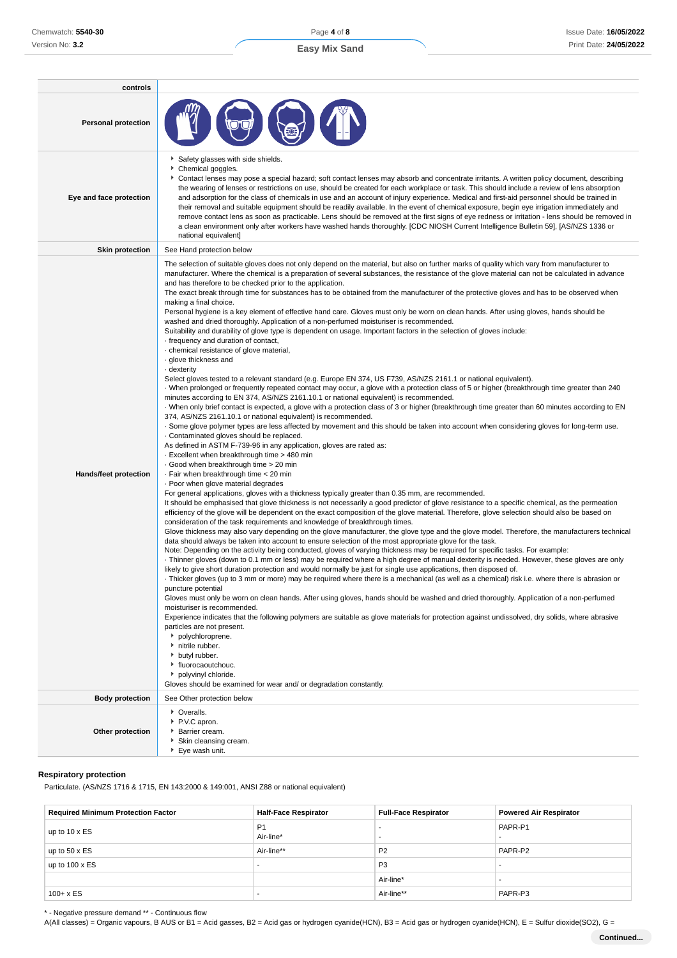| controls                   |                                                                                                                                                                                                                                                                                                                                                                                                                                                                                                                                                                                                                                                                                                                                                                                                                                                                                                                                                                                                                                                                                                                                                                                                                                                                                                                                                                                                                                                                                                                                                                                                                                                                                                                                                                                                                                                                                                                                                                                                                                                                                                                                                                                                                                                                                                                                                                                                                                                                                                                                                                                                                                                                                                                                                                                                                                                                                                                                                                                                                                                                                                                                                                                                                                                                                                                                                                                                                                                                                                                                                                                                                                                                                                                                                                                                                                                                        |
|----------------------------|------------------------------------------------------------------------------------------------------------------------------------------------------------------------------------------------------------------------------------------------------------------------------------------------------------------------------------------------------------------------------------------------------------------------------------------------------------------------------------------------------------------------------------------------------------------------------------------------------------------------------------------------------------------------------------------------------------------------------------------------------------------------------------------------------------------------------------------------------------------------------------------------------------------------------------------------------------------------------------------------------------------------------------------------------------------------------------------------------------------------------------------------------------------------------------------------------------------------------------------------------------------------------------------------------------------------------------------------------------------------------------------------------------------------------------------------------------------------------------------------------------------------------------------------------------------------------------------------------------------------------------------------------------------------------------------------------------------------------------------------------------------------------------------------------------------------------------------------------------------------------------------------------------------------------------------------------------------------------------------------------------------------------------------------------------------------------------------------------------------------------------------------------------------------------------------------------------------------------------------------------------------------------------------------------------------------------------------------------------------------------------------------------------------------------------------------------------------------------------------------------------------------------------------------------------------------------------------------------------------------------------------------------------------------------------------------------------------------------------------------------------------------------------------------------------------------------------------------------------------------------------------------------------------------------------------------------------------------------------------------------------------------------------------------------------------------------------------------------------------------------------------------------------------------------------------------------------------------------------------------------------------------------------------------------------------------------------------------------------------------------------------------------------------------------------------------------------------------------------------------------------------------------------------------------------------------------------------------------------------------------------------------------------------------------------------------------------------------------------------------------------------------------------------------------------------------------------------------------------------------|
| <b>Personal protection</b> |                                                                                                                                                                                                                                                                                                                                                                                                                                                                                                                                                                                                                                                                                                                                                                                                                                                                                                                                                                                                                                                                                                                                                                                                                                                                                                                                                                                                                                                                                                                                                                                                                                                                                                                                                                                                                                                                                                                                                                                                                                                                                                                                                                                                                                                                                                                                                                                                                                                                                                                                                                                                                                                                                                                                                                                                                                                                                                                                                                                                                                                                                                                                                                                                                                                                                                                                                                                                                                                                                                                                                                                                                                                                                                                                                                                                                                                                        |
| Eye and face protection    | Safety glasses with side shields.<br>Chemical goggles.<br>▶ Contact lenses may pose a special hazard; soft contact lenses may absorb and concentrate irritants. A written policy document, describing<br>the wearing of lenses or restrictions on use, should be created for each workplace or task. This should include a review of lens absorption<br>and adsorption for the class of chemicals in use and an account of injury experience. Medical and first-aid personnel should be trained in<br>their removal and suitable equipment should be readily available. In the event of chemical exposure, begin eye irrigation immediately and<br>remove contact lens as soon as practicable. Lens should be removed at the first signs of eye redness or irritation - lens should be removed in<br>a clean environment only after workers have washed hands thoroughly. [CDC NIOSH Current Intelligence Bulletin 59], [AS/NZS 1336 or<br>national equivalent]                                                                                                                                                                                                                                                                                                                                                                                                                                                                                                                                                                                                                                                                                                                                                                                                                                                                                                                                                                                                                                                                                                                                                                                                                                                                                                                                                                                                                                                                                                                                                                                                                                                                                                                                                                                                                                                                                                                                                                                                                                                                                                                                                                                                                                                                                                                                                                                                                                                                                                                                                                                                                                                                                                                                                                                                                                                                                                        |
| <b>Skin protection</b>     | See Hand protection below                                                                                                                                                                                                                                                                                                                                                                                                                                                                                                                                                                                                                                                                                                                                                                                                                                                                                                                                                                                                                                                                                                                                                                                                                                                                                                                                                                                                                                                                                                                                                                                                                                                                                                                                                                                                                                                                                                                                                                                                                                                                                                                                                                                                                                                                                                                                                                                                                                                                                                                                                                                                                                                                                                                                                                                                                                                                                                                                                                                                                                                                                                                                                                                                                                                                                                                                                                                                                                                                                                                                                                                                                                                                                                                                                                                                                                              |
| Hands/feet protection      | The selection of suitable gloves does not only depend on the material, but also on further marks of quality which vary from manufacturer to<br>manufacturer. Where the chemical is a preparation of several substances, the resistance of the glove material can not be calculated in advance<br>and has therefore to be checked prior to the application.<br>The exact break through time for substances has to be obtained from the manufacturer of the protective gloves and has to be observed when<br>making a final choice.<br>Personal hygiene is a key element of effective hand care. Gloves must only be worn on clean hands. After using gloves, hands should be<br>washed and dried thoroughly. Application of a non-perfumed moisturiser is recommended.<br>Suitability and durability of glove type is dependent on usage. Important factors in the selection of gloves include:<br>· frequency and duration of contact,<br>· chemical resistance of glove material,<br>· glove thickness and<br>- dexterity<br>Select gloves tested to a relevant standard (e.g. Europe EN 374, US F739, AS/NZS 2161.1 or national equivalent).<br>When prolonged or frequently repeated contact may occur, a glove with a protection class of 5 or higher (breakthrough time greater than 240<br>minutes according to EN 374, AS/NZS 2161.10.1 or national equivalent) is recommended.<br>· When only brief contact is expected, a glove with a protection class of 3 or higher (breakthrough time greater than 60 minutes according to EN<br>374, AS/NZS 2161.10.1 or national equivalent) is recommended.<br>. Some glove polymer types are less affected by movement and this should be taken into account when considering gloves for long-term use.<br>. Contaminated gloves should be replaced.<br>As defined in ASTM F-739-96 in any application, gloves are rated as:<br>- Excellent when breakthrough time > 480 min<br>Good when breakthrough time > 20 min<br>· Fair when breakthrough time < 20 min<br>. Poor when glove material degrades<br>For general applications, gloves with a thickness typically greater than 0.35 mm, are recommended.<br>It should be emphasised that glove thickness is not necessarily a good predictor of glove resistance to a specific chemical, as the permeation<br>efficiency of the glove will be dependent on the exact composition of the glove material. Therefore, glove selection should also be based on<br>consideration of the task requirements and knowledge of breakthrough times.<br>Glove thickness may also vary depending on the glove manufacturer, the glove type and the glove model. Therefore, the manufacturers technical<br>data should always be taken into account to ensure selection of the most appropriate glove for the task.<br>Note: Depending on the activity being conducted, gloves of varying thickness may be required for specific tasks. For example:<br>· Thinner gloves (down to 0.1 mm or less) may be required where a high degree of manual dexterity is needed. However, these gloves are only<br>likely to give short duration protection and would normally be just for single use applications, then disposed of.<br>· Thicker gloves (up to 3 mm or more) may be required where there is a mechanical (as well as a chemical) risk i.e. where there is abrasion or<br>puncture potential<br>Gloves must only be worn on clean hands. After using gloves, hands should be washed and dried thoroughly. Application of a non-perfumed<br>moisturiser is recommended.<br>Experience indicates that the following polymers are suitable as glove materials for protection against undissolved, dry solids, where abrasive<br>particles are not present.<br>polychloroprene.<br>h nitrile rubber.<br>butyl rubber.<br><sup>t</sup> fluorocaoutchouc.<br>polyvinyl chloride. |
|                            | Gloves should be examined for wear and/ or degradation constantly.                                                                                                                                                                                                                                                                                                                                                                                                                                                                                                                                                                                                                                                                                                                                                                                                                                                                                                                                                                                                                                                                                                                                                                                                                                                                                                                                                                                                                                                                                                                                                                                                                                                                                                                                                                                                                                                                                                                                                                                                                                                                                                                                                                                                                                                                                                                                                                                                                                                                                                                                                                                                                                                                                                                                                                                                                                                                                                                                                                                                                                                                                                                                                                                                                                                                                                                                                                                                                                                                                                                                                                                                                                                                                                                                                                                                     |
| <b>Body protection</b>     | See Other protection below                                                                                                                                                                                                                                                                                                                                                                                                                                                                                                                                                                                                                                                                                                                                                                                                                                                                                                                                                                                                                                                                                                                                                                                                                                                                                                                                                                                                                                                                                                                                                                                                                                                                                                                                                                                                                                                                                                                                                                                                                                                                                                                                                                                                                                                                                                                                                                                                                                                                                                                                                                                                                                                                                                                                                                                                                                                                                                                                                                                                                                                                                                                                                                                                                                                                                                                                                                                                                                                                                                                                                                                                                                                                                                                                                                                                                                             |
| Other protection           | • Overalls.<br>P.V.C apron.<br>Barrier cream.<br>Skin cleansing cream.<br>▶ Eye wash unit.                                                                                                                                                                                                                                                                                                                                                                                                                                                                                                                                                                                                                                                                                                                                                                                                                                                                                                                                                                                                                                                                                                                                                                                                                                                                                                                                                                                                                                                                                                                                                                                                                                                                                                                                                                                                                                                                                                                                                                                                                                                                                                                                                                                                                                                                                                                                                                                                                                                                                                                                                                                                                                                                                                                                                                                                                                                                                                                                                                                                                                                                                                                                                                                                                                                                                                                                                                                                                                                                                                                                                                                                                                                                                                                                                                             |

# **Respiratory protection**

Particulate. (AS/NZS 1716 & 1715, EN 143:2000 & 149:001, ANSI Z88 or national equivalent)

| <b>Required Minimum Protection Factor</b> | <b>Half-Face Respirator</b> | <b>Full-Face Respirator</b> | <b>Powered Air Respirator</b> |
|-------------------------------------------|-----------------------------|-----------------------------|-------------------------------|
| up to $10 \times ES$                      | P <sub>1</sub><br>Air-line* |                             | PAPR-P1                       |
| up to $50 \times ES$                      | Air-line**                  | P <sub>2</sub>              | PAPR-P2                       |
| up to $100 \times ES$                     | -                           | P <sub>3</sub>              |                               |
|                                           |                             | Air-line*                   |                               |
| $100 + x ES$                              | -                           | Air-line**                  | PAPR-P3                       |

\* - Negative pressure demand \*\* - Continuous flow

A(All classes) = Organic vapours, B AUS or B1 = Acid gasses, B2 = Acid gas or hydrogen cyanide(HCN), B3 = Acid gas or hydrogen cyanide(HCN), E = Sulfur dioxide(SO2), G =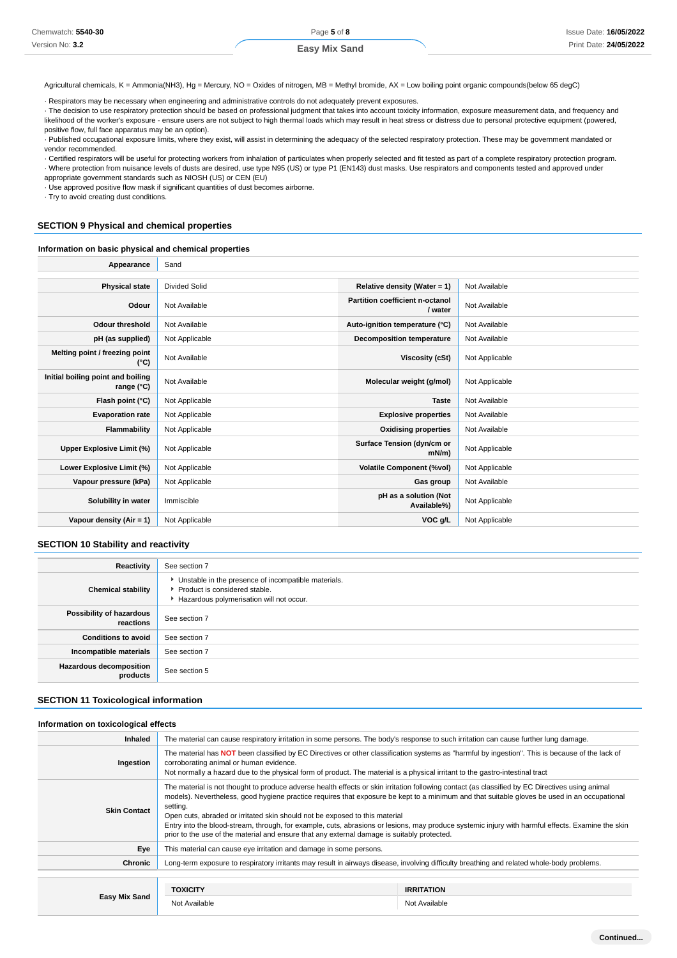Agricultural chemicals, K = Ammonia(NH3), Hg = Mercury, NO = Oxides of nitrogen, MB = Methyl bromide, AX = Low boiling point organic compounds(below 65 degC)

· Respirators may be necessary when engineering and administrative controls do not adequately prevent exposures.

· The decision to use respiratory protection should be based on professional judgment that takes into account toxicity information, exposure measurement data, and frequency and likelihood of the worker's exposure - ensure users are not subject to high thermal loads which may result in heat stress or distress due to personal protective equipment (powered, positive flow, full face apparatus may be an option).

· Published occupational exposure limits, where they exist, will assist in determining the adequacy of the selected respiratory protection. These may be government mandated or vendor recommended.

· Certified respirators will be useful for protecting workers from inhalation of particulates when properly selected and fit tested as part of a complete respiratory protection program. · Where protection from nuisance levels of dusts are desired, use type N95 (US) or type P1 (EN143) dust masks. Use respirators and components tested and approved under appropriate government standards such as NIOSH (US) or CEN (EU)

· Use approved positive flow mask if significant quantities of dust becomes airborne.

· Try to avoid creating dust conditions.

# **SECTION 9 Physical and chemical properties**

# **Information on basic physical and chemical properties**

| Appearance                                      | Sand           |                                            |                |
|-------------------------------------------------|----------------|--------------------------------------------|----------------|
|                                                 |                |                                            |                |
| <b>Physical state</b>                           | Divided Solid  | Relative density (Water = 1)               | Not Available  |
| Odour                                           | Not Available  | Partition coefficient n-octanol<br>/ water | Not Available  |
| Odour threshold                                 | Not Available  | Auto-ignition temperature (°C)             | Not Available  |
| pH (as supplied)                                | Not Applicable | <b>Decomposition temperature</b>           | Not Available  |
| Melting point / freezing point<br>(°C)          | Not Available  | Viscosity (cSt)                            | Not Applicable |
| Initial boiling point and boiling<br>range (°C) | Not Available  | Molecular weight (g/mol)                   | Not Applicable |
| Flash point (°C)                                | Not Applicable | <b>Taste</b>                               | Not Available  |
| <b>Evaporation rate</b>                         | Not Applicable | <b>Explosive properties</b>                | Not Available  |
| Flammability                                    | Not Applicable | <b>Oxidising properties</b>                | Not Available  |
| Upper Explosive Limit (%)                       | Not Applicable | Surface Tension (dyn/cm or<br>$mN/m$ )     | Not Applicable |
| Lower Explosive Limit (%)                       | Not Applicable | <b>Volatile Component (%vol)</b>           | Not Applicable |
| Vapour pressure (kPa)                           | Not Applicable | Gas group                                  | Not Available  |
| Solubility in water                             | Immiscible     | pH as a solution (Not<br>Available%)       | Not Applicable |
| Vapour density (Air = 1)                        | Not Applicable | VOC g/L                                    | Not Applicable |

# **SECTION 10 Stability and reactivity**

| Reactivity                                 | See section 7                                                                                                                        |
|--------------------------------------------|--------------------------------------------------------------------------------------------------------------------------------------|
| <b>Chemical stability</b>                  | • Unstable in the presence of incompatible materials.<br>▶ Product is considered stable.<br>Hazardous polymerisation will not occur. |
| Possibility of hazardous<br>reactions      | See section 7                                                                                                                        |
| <b>Conditions to avoid</b>                 | See section 7                                                                                                                        |
| Incompatible materials                     | See section 7                                                                                                                        |
| <b>Hazardous decomposition</b><br>products | See section 5                                                                                                                        |

# **SECTION 11 Toxicological information**

#### **Information on toxicological effects**

| <b>Inhaled</b>      | The material can cause respiratory irritation in some persons. The body's response to such irritation can cause further lung damage.                                                                                                                                                                                                                                                                                                                                                                                                                                                                                                           |                   |  |
|---------------------|------------------------------------------------------------------------------------------------------------------------------------------------------------------------------------------------------------------------------------------------------------------------------------------------------------------------------------------------------------------------------------------------------------------------------------------------------------------------------------------------------------------------------------------------------------------------------------------------------------------------------------------------|-------------------|--|
| Ingestion           | The material has NOT been classified by EC Directives or other classification systems as "harmful by ingestion". This is because of the lack of<br>corroborating animal or human evidence.<br>Not normally a hazard due to the physical form of product. The material is a physical irritant to the gastro-intestinal tract                                                                                                                                                                                                                                                                                                                    |                   |  |
| <b>Skin Contact</b> | The material is not thought to produce adverse health effects or skin irritation following contact (as classified by EC Directives using animal<br>models). Nevertheless, good hygiene practice requires that exposure be kept to a minimum and that suitable gloves be used in an occupational<br>setting.<br>Open cuts, abraded or irritated skin should not be exposed to this material<br>Entry into the blood-stream, through, for example, cuts, abrasions or lesions, may produce systemic injury with harmful effects. Examine the skin<br>prior to the use of the material and ensure that any external damage is suitably protected. |                   |  |
| Eye                 | This material can cause eye irritation and damage in some persons.                                                                                                                                                                                                                                                                                                                                                                                                                                                                                                                                                                             |                   |  |
| Chronic             | Long-term exposure to respiratory irritants may result in airways disease, involving difficulty breathing and related whole-body problems.                                                                                                                                                                                                                                                                                                                                                                                                                                                                                                     |                   |  |
|                     |                                                                                                                                                                                                                                                                                                                                                                                                                                                                                                                                                                                                                                                |                   |  |
|                     | <b>TOXICITY</b>                                                                                                                                                                                                                                                                                                                                                                                                                                                                                                                                                                                                                                | <b>IRRITATION</b> |  |
| Easy Mix Sand       | Not Available                                                                                                                                                                                                                                                                                                                                                                                                                                                                                                                                                                                                                                  | Not Available     |  |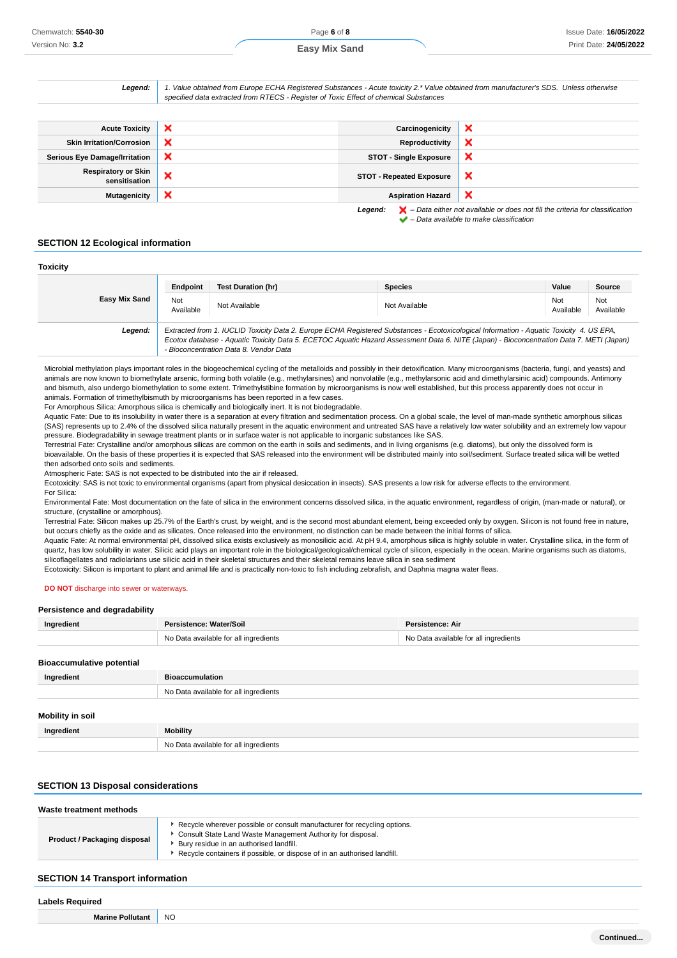**Toxicity**

Legend:  $\blacktriangleright$  - Data either not available or does not fill the criteria for classification

 $\blacktriangleright$  – Data available to make classification

 $\mathbf x$ 

| Legend:                                     | 1. Value obtained from Europe ECHA Registered Substances - Acute toxicity 2.* Value obtained from manufacturer's SDS. Unless otherwise<br>specified data extracted from RTECS - Register of Toxic Effect of chemical Substances |                                 |                       |
|---------------------------------------------|---------------------------------------------------------------------------------------------------------------------------------------------------------------------------------------------------------------------------------|---------------------------------|-----------------------|
|                                             |                                                                                                                                                                                                                                 |                                 |                       |
| <b>Acute Toxicity</b>                       | $\boldsymbol{\times}$                                                                                                                                                                                                           | Carcinogenicity                 | А                     |
| <b>Skin Irritation/Corrosion</b>            | ×                                                                                                                                                                                                                               | Reproductivity                  |                       |
| <b>Serious Eye Damage/Irritation</b>        | $\boldsymbol{\times}$                                                                                                                                                                                                           | <b>STOT - Single Exposure</b>   |                       |
| <b>Respiratory or Skin</b><br>sensitisation | $\boldsymbol{\mathsf{x}}$                                                                                                                                                                                                       | <b>STOT - Repeated Exposure</b> | $\mathbf{\mathsf{x}}$ |

**Mutagenicity Aspiration Hazard Aspiration Hazard** 

# **SECTION 12 Ecological information**

| TOXICITY      |                  |                                        |                                                                                                                                                                                                                                                                                      |                  |                  |
|---------------|------------------|----------------------------------------|--------------------------------------------------------------------------------------------------------------------------------------------------------------------------------------------------------------------------------------------------------------------------------------|------------------|------------------|
|               | Endpoint         | <b>Test Duration (hr)</b>              | <b>Species</b>                                                                                                                                                                                                                                                                       | Value            | Source           |
| Easy Mix Sand | Not<br>Available | Not Available                          | Not Available                                                                                                                                                                                                                                                                        | Not<br>Available | Not<br>Available |
| Legend:       |                  | - Bioconcentration Data 8. Vendor Data | Extracted from 1. IUCLID Toxicity Data 2. Europe ECHA Registered Substances - Ecotoxicological Information - Aquatic Toxicity 4. US EPA,<br>Ecotox database - Aquatic Toxicity Data 5. ECETOC Aquatic Hazard Assessment Data 6. NITE (Japan) - Bioconcentration Data 7. METI (Japan) |                  |                  |

Microbial methylation plays important roles in the biogeochemical cycling of the metalloids and possibly in their detoxification. Many microorganisms (bacteria, fungi, and yeasts) and animals are now known to biomethylate arsenic, forming both volatile (e.g., methylarsines) and nonvolatile (e.g., methylarsonic acid and dimethylarsinic acid) compounds. Antimony and bismuth, also undergo biomethylation to some extent. Trimethylstibine formation by microorganisms is now well established, but this process apparently does not occur in animals. Formation of trimethylbismuth by microorganisms has been reported in a few cases.

For Amorphous Silica: Amorphous silica is chemically and biologically inert. It is not biodegradable.

Aquatic Fate: Due to its insolubility in water there is a separation at every filtration and sedimentation process. On a global scale, the level of man-made synthetic amorphous silicas (SAS) represents up to 2.4% of the dissolved silica naturally present in the aquatic environment and untreated SAS have a relatively low water solubility and an extremely low vapour pressure. Biodegradability in sewage treatment plants or in surface water is not applicable to inorganic substances like SAS.

Terrestrial Fate: Crystalline and/or amorphous silicas are common on the earth in soils and sediments, and in living organisms (e.g. diatoms), but only the dissolved form is bioavailable. On the basis of these properties it is expected that SAS released into the environment will be distributed mainly into soil/sediment. Surface treated silica will be wetted then adsorbed onto soils and sediments.

Atmospheric Fate: SAS is not expected to be distributed into the air if released.

Ecotoxicity: SAS is not toxic to environmental organisms (apart from physical desiccation in insects). SAS presents a low risk for adverse effects to the environment. For Silica:

Environmental Fate: Most documentation on the fate of silica in the environment concerns dissolved silica, in the aquatic environment, regardless of origin, (man-made or natural), or structure, (crystalline or amorphous).

Terrestrial Fate: Silicon makes up 25.7% of the Earth's crust, by weight, and is the second most abundant element, being exceeded only by oxygen. Silicon is not found free in nature, but occurs chiefly as the oxide and as silicates. Once released into the environment, no distinction can be made between the initial forms of silica.

Aquatic Fate: At normal environmental pH, dissolved silica exists exclusively as monosilicic acid. At pH 9.4, amorphous silica is highly soluble in water. Crystalline silica, in the form of quartz, has low solubility in water. Silicic acid plays an important role in the biological/geological/chemical cycle of silicon, especially in the ocean. Marine organisms such as diatoms, silicoflagellates and radiolarians use silicic acid in their skeletal structures and their skeletal remains leave silica in sea sediment

Ecotoxicity: Silicon is important to plant and animal life and is practically non-toxic to fish including zebrafish, and Daphnia magna water fleas.

#### **DO NOT** discharge into sewer or waterways.

#### **Persistence and degradability**

| , croistenee and aegradability   |                                       |                                       |
|----------------------------------|---------------------------------------|---------------------------------------|
| Ingredient                       | Persistence: Water/Soil               | Persistence: Air                      |
|                                  | No Data available for all ingredients | No Data available for all ingredients |
|                                  |                                       |                                       |
| <b>Bioaccumulative potential</b> |                                       |                                       |
| Ingredient                       | <b>Bioaccumulation</b>                |                                       |
|                                  | No Data available for all ingredients |                                       |
|                                  |                                       |                                       |
| <b>Mobility in soil</b>          |                                       |                                       |
| Ingredient                       | <b>Mobility</b>                       |                                       |
|                                  | No Data available for all ingredients |                                       |

### **SECTION 13 Disposal considerations**

| Recycle wherever possible or consult manufacturer for recycling options.                                                                            | Waste treatment methods |                                                             |
|-----------------------------------------------------------------------------------------------------------------------------------------------------|-------------------------|-------------------------------------------------------------|
| Product / Packaging disposal<br>Bury residue in an authorised landfill.<br>Recycle containers if possible, or dispose of in an authorised landfill. |                         | Consult State Land Waste Management Authority for disposal. |

# **SECTION 14 Transport information**

# **Labels Required**

**Marine Pollutant** NO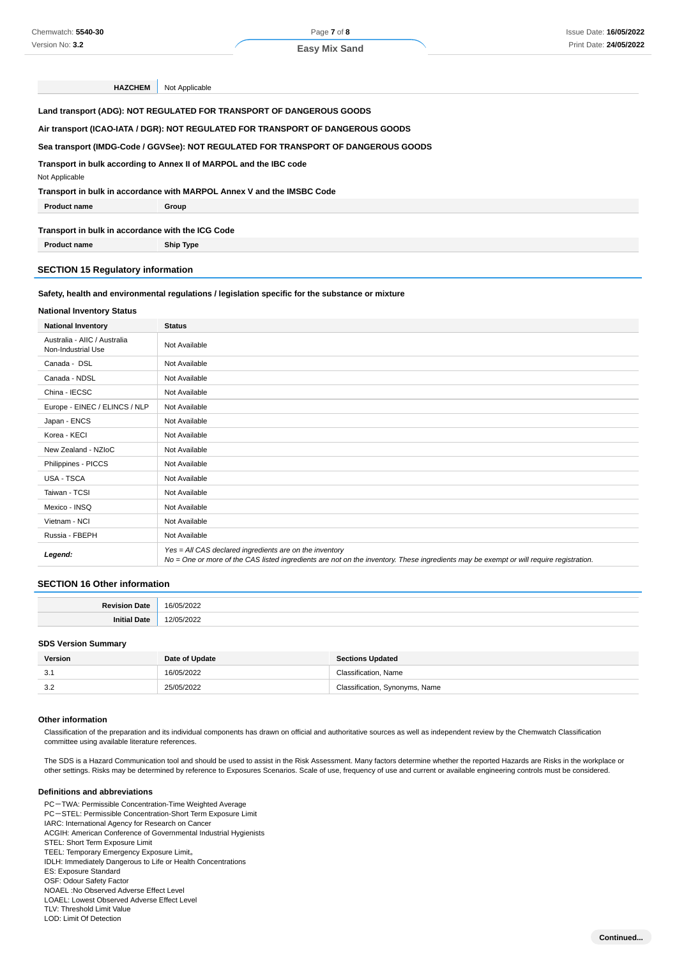**HAZCHEM** Not Applicable

**Land transport (ADG): NOT REGULATED FOR TRANSPORT OF DANGEROUS GOODS**

**Air transport (ICAO-IATA / DGR): NOT REGULATED FOR TRANSPORT OF DANGEROUS GOODS**

#### **Sea transport (IMDG-Code / GGVSee): NOT REGULATED FOR TRANSPORT OF DANGEROUS GOODS**

**Transport in bulk according to Annex II of MARPOL and the IBC code**

Not Applicable

**Transport in bulk in accordance with MARPOL Annex V and the IMSBC Code**

| Drod. | Group |
|-------|-------|
|       |       |

**Transport in bulk in accordance with the ICG Code**

**Product name Ship Type** 

# **SECTION 15 Regulatory information**

# **Safety, health and environmental regulations / legislation specific for the substance or mixture**

#### **National Inventory Status**

| <b>National Inventory</b>                          | <b>Status</b>                                                                                                                                                                                     |
|----------------------------------------------------|---------------------------------------------------------------------------------------------------------------------------------------------------------------------------------------------------|
| Australia - AIIC / Australia<br>Non-Industrial Use | Not Available                                                                                                                                                                                     |
| Canada - DSL                                       | Not Available                                                                                                                                                                                     |
| Canada - NDSL                                      | Not Available                                                                                                                                                                                     |
| China - IECSC                                      | Not Available                                                                                                                                                                                     |
| Europe - EINEC / ELINCS / NLP                      | Not Available                                                                                                                                                                                     |
| Japan - ENCS                                       | Not Available                                                                                                                                                                                     |
| Korea - KECI                                       | Not Available                                                                                                                                                                                     |
| New Zealand - NZIoC                                | Not Available                                                                                                                                                                                     |
| Philippines - PICCS                                | Not Available                                                                                                                                                                                     |
| <b>USA - TSCA</b>                                  | Not Available                                                                                                                                                                                     |
| Taiwan - TCSI                                      | Not Available                                                                                                                                                                                     |
| Mexico - INSQ                                      | Not Available                                                                                                                                                                                     |
| Vietnam - NCI                                      | Not Available                                                                                                                                                                                     |
| Russia - FBEPH                                     | Not Available                                                                                                                                                                                     |
| Legend:                                            | Yes = All CAS declared ingredients are on the inventory<br>No = One or more of the CAS listed ingredients are not on the inventory. These ingredients may be exempt or will require registration. |

#### **SECTION 16 Other information**

| п. | . |
|----|---|
|    |   |

#### **SDS Version Summary**

| Version    | Date of Update | <b>Sections Updated</b>        |
|------------|----------------|--------------------------------|
| v.         | 16/05/2022     | Classification. Name           |
| -3.2<br>◡. | 25/05/2022     | Classification, Synonyms, Name |

#### **Other information**

Classification of the preparation and its individual components has drawn on official and authoritative sources as well as independent review by the Chemwatch Classification committee using available literature references.

The SDS is a Hazard Communication tool and should be used to assist in the Risk Assessment. Many factors determine whether the reported Hazards are Risks in the workplace or other settings. Risks may be determined by reference to Exposures Scenarios. Scale of use, frequency of use and current or available engineering controls must be considered.

#### **Definitions and abbreviations**

PC-TWA: Permissible Concentration-Time Weighted Average PC-STEL: Permissible Concentration-Short Term Exposure Limit IARC: International Agency for Research on Cancer ACGIH: American Conference of Governmental Industrial Hygienists STEL: Short Term Exposure Limit TEEL: Temporary Emergency Exposure Limit。 IDLH: Immediately Dangerous to Life or Health Concentrations ES: Exposure Standard OSF: Odour Safety Factor NOAEL :No Observed Adverse Effect Level LOAEL: Lowest Observed Adverse Effect Level TLV: Threshold Limit Value

LOD: Limit Of Detection